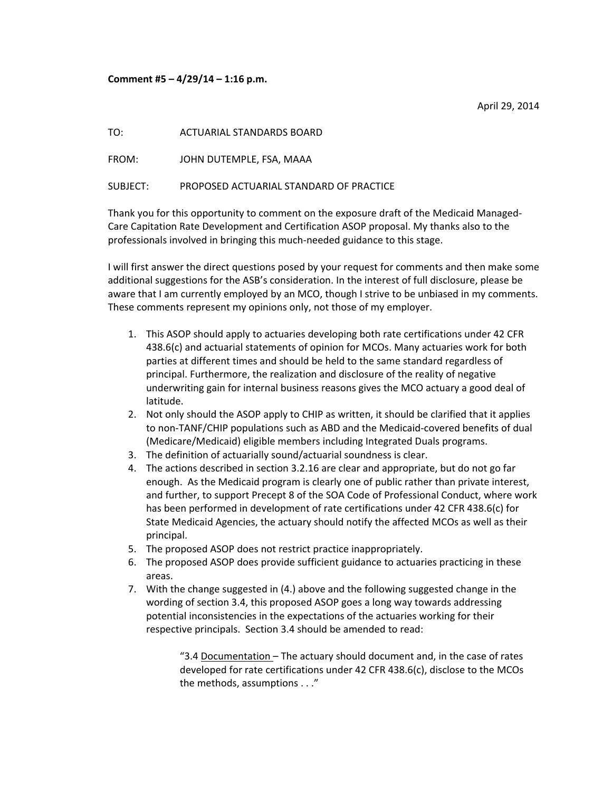## **Comment #5 – 4/29/14 – 1:16 p.m.**

April 29, 2014

TO: ACTUARIAL STANDARDS BOARD

FROM: JOHN DUTEMPLE, FSA, MAAA

SUBJECT: PROPOSED ACTUARIAL STANDARD OF PRACTICE

Thank you for this opportunity to comment on the exposure draft of the Medicaid Managed‐ Care Capitation Rate Development and Certification ASOP proposal. My thanks also to the professionals involved in bringing this much‐needed guidance to this stage.

I will first answer the direct questions posed by your request for comments and then make some additional suggestions for the ASB's consideration. In the interest of full disclosure, please be aware that I am currently employed by an MCO, though I strive to be unbiased in my comments. These comments represent my opinions only, not those of my employer.

- 1. This ASOP should apply to actuaries developing both rate certifications under 42 CFR 438.6(c) and actuarial statements of opinion for MCOs. Many actuaries work for both parties at different times and should be held to the same standard regardless of principal. Furthermore, the realization and disclosure of the reality of negative underwriting gain for internal business reasons gives the MCO actuary a good deal of latitude.
- 2. Not only should the ASOP apply to CHIP as written, it should be clarified that it applies to non‐TANF/CHIP populations such as ABD and the Medicaid‐covered benefits of dual (Medicare/Medicaid) eligible members including Integrated Duals programs.
- 3. The definition of actuarially sound/actuarial soundness is clear.
- 4. The actions described in section 3.2.16 are clear and appropriate, but do not go far enough. As the Medicaid program is clearly one of public rather than private interest, and further, to support Precept 8 of the SOA Code of Professional Conduct, where work has been performed in development of rate certifications under 42 CFR 438.6(c) for State Medicaid Agencies, the actuary should notify the affected MCOs as well as their principal.
- 5. The proposed ASOP does not restrict practice inappropriately.
- 6. The proposed ASOP does provide sufficient guidance to actuaries practicing in these areas.
- 7. With the change suggested in (4.) above and the following suggested change in the wording of section 3.4, this proposed ASOP goes a long way towards addressing potential inconsistencies in the expectations of the actuaries working for their respective principals. Section 3.4 should be amended to read:

"3.4 Documentation – The actuary should document and, in the case of rates developed for rate certifications under 42 CFR 438.6(c), disclose to the MCOs the methods, assumptions . . ."